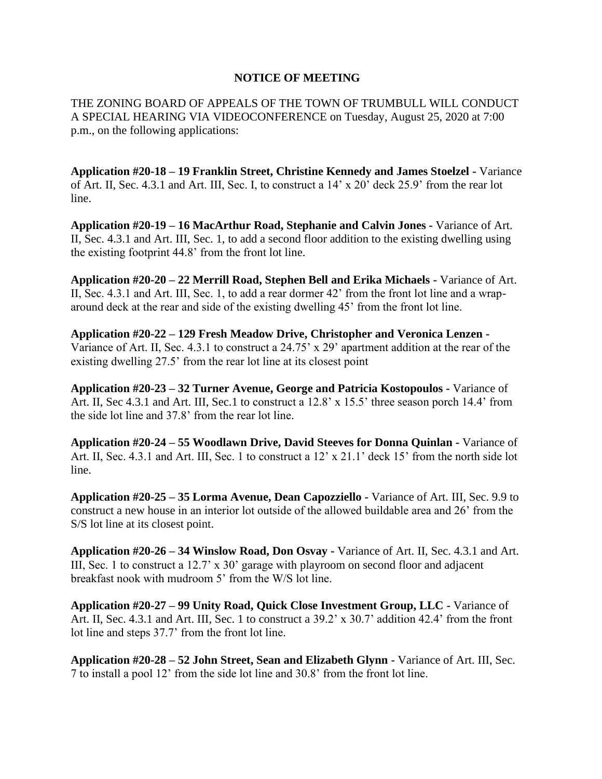## **NOTICE OF MEETING**

THE ZONING BOARD OF APPEALS OF THE TOWN OF TRUMBULL WILL CONDUCT A SPECIAL HEARING VIA VIDEOCONFERENCE on Tuesday, August 25, 2020 at 7:00 p.m., on the following applications:

**Application #20-18 – 19 Franklin Street, Christine Kennedy and James Stoelzel -** Variance of Art. II, Sec. 4.3.1 and Art. III, Sec. I, to construct a 14' x 20' deck 25.9' from the rear lot line.

**Application #20-19 – 16 MacArthur Road, Stephanie and Calvin Jones -** Variance of Art. II, Sec. 4.3.1 and Art. III, Sec. 1, to add a second floor addition to the existing dwelling using the existing footprint 44.8' from the front lot line.

**Application #20-20 – 22 Merrill Road, Stephen Bell and Erika Michaels -** Variance of Art. II, Sec. 4.3.1 and Art. III, Sec. 1, to add a rear dormer 42' from the front lot line and a wraparound deck at the rear and side of the existing dwelling 45' from the front lot line.

**Application #20-22 – 129 Fresh Meadow Drive, Christopher and Veronica Lenzen -** Variance of Art. II, Sec. 4.3.1 to construct a 24.75' x 29' apartment addition at the rear of the existing dwelling 27.5' from the rear lot line at its closest point

**Application #20-23 – 32 Turner Avenue, George and Patricia Kostopoulos -** Variance of Art. II, Sec 4.3.1 and Art. III, Sec.1 to construct a 12.8' x 15.5' three season porch 14.4' from the side lot line and 37.8' from the rear lot line.

**Application #20-24 – 55 Woodlawn Drive, David Steeves for Donna Quinlan -** Variance of Art. II, Sec. 4.3.1 and Art. III, Sec. 1 to construct a 12' x 21.1' deck 15' from the north side lot line.

**Application #20-25 – 35 Lorma Avenue, Dean Capozziello -** Variance of Art. III, Sec. 9.9 to construct a new house in an interior lot outside of the allowed buildable area and 26' from the S/S lot line at its closest point.

**Application #20-26 – 34 Winslow Road, Don Osvay -** Variance of Art. II, Sec. 4.3.1 and Art. III, Sec. 1 to construct a 12.7' x 30' garage with playroom on second floor and adjacent breakfast nook with mudroom 5' from the W/S lot line.

**Application #20-27 – 99 Unity Road, Quick Close Investment Group, LLC -** Variance of Art. II, Sec. 4.3.1 and Art. III, Sec. 1 to construct a 39.2' x 30.7' addition 42.4' from the front lot line and steps 37.7' from the front lot line.

**Application #20-28 – 52 John Street, Sean and Elizabeth Glynn -** Variance of Art. III, Sec. 7 to install a pool 12' from the side lot line and 30.8' from the front lot line.